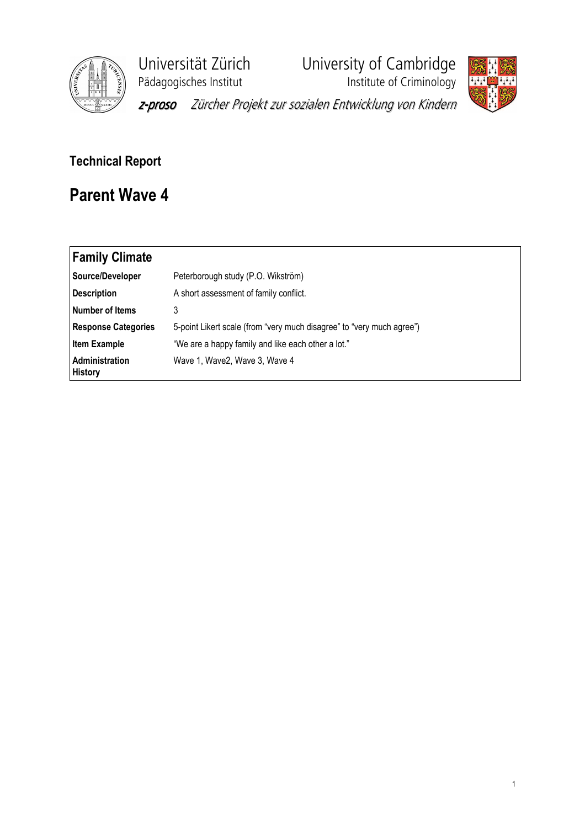

Universität Zürich<br>
Pädagogisches Institut<br>
Institute of Criminology

y<br>Institute of Criminology



z-proso Zürcher Projekt zur sozialen Entwicklung von Kindern

## Technical Report

## Parent Wave 4

| <b>Family Climate</b>            |                                                                       |
|----------------------------------|-----------------------------------------------------------------------|
| Source/Developer                 | Peterborough study (P.O. Wikström)                                    |
| <b>Description</b>               | A short assessment of family conflict.                                |
| <b>Number of Items</b>           | 3                                                                     |
| <b>Response Categories</b>       | 5-point Likert scale (from "very much disagree" to "very much agree") |
| <b>Item Example</b>              | "We are a happy family and like each other a lot."                    |
| Administration<br><b>History</b> | Wave 1, Wave 2, Wave 3, Wave 4                                        |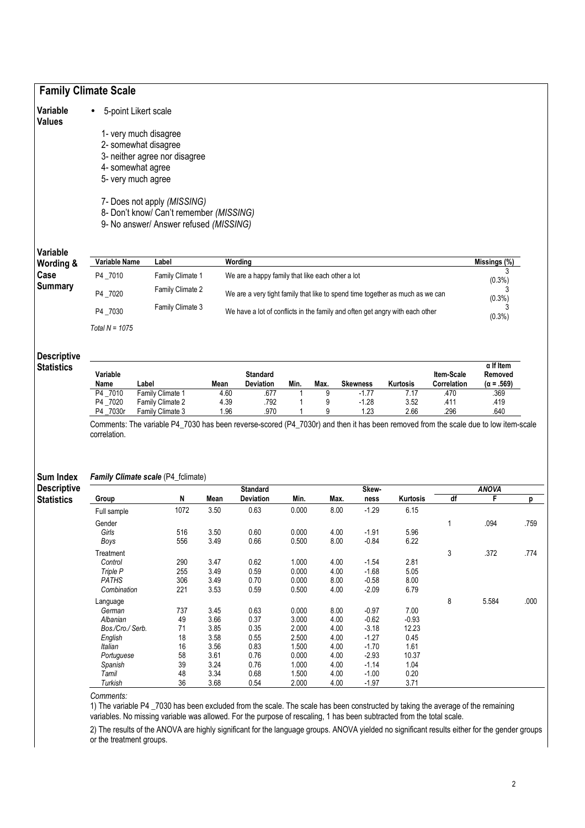| Variable                                                                  |                             | 5-point Likert scale                                                                                                                |                  |                                                                               |                |              |                    |                  |              |                   |              |
|---------------------------------------------------------------------------|-----------------------------|-------------------------------------------------------------------------------------------------------------------------------------|------------------|-------------------------------------------------------------------------------|----------------|--------------|--------------------|------------------|--------------|-------------------|--------------|
| <b>Values</b>                                                             |                             |                                                                                                                                     |                  |                                                                               |                |              |                    |                  |              |                   |              |
|                                                                           | 1- very much disagree       |                                                                                                                                     |                  |                                                                               |                |              |                    |                  |              |                   |              |
|                                                                           | 2- somewhat disagree        |                                                                                                                                     |                  |                                                                               |                |              |                    |                  |              |                   |              |
|                                                                           |                             | 3- neither agree nor disagree                                                                                                       |                  |                                                                               |                |              |                    |                  |              |                   |              |
|                                                                           | 4- somewhat agree           |                                                                                                                                     |                  |                                                                               |                |              |                    |                  |              |                   |              |
|                                                                           | 5- very much agree          |                                                                                                                                     |                  |                                                                               |                |              |                    |                  |              |                   |              |
|                                                                           | 7- Does not apply (MISSING) |                                                                                                                                     |                  |                                                                               |                |              |                    |                  |              |                   |              |
|                                                                           |                             | 8- Don't know/ Can't remember (MISSING)                                                                                             |                  |                                                                               |                |              |                    |                  |              |                   |              |
|                                                                           |                             | 9- No answer/ Answer refused (MISSING)                                                                                              |                  |                                                                               |                |              |                    |                  |              |                   |              |
| Variable                                                                  |                             |                                                                                                                                     |                  |                                                                               |                |              |                    |                  |              |                   |              |
| Wording &                                                                 | Variable Name               | Label                                                                                                                               |                  | Wording                                                                       |                |              |                    |                  |              | Missings (%)      |              |
| Case                                                                      | P4_7010                     | Family Climate 1                                                                                                                    |                  | We are a happy family that like each other a lot                              |                |              |                    |                  |              |                   |              |
| <b>Summary</b>                                                            |                             | Family Climate 2                                                                                                                    |                  |                                                                               |                |              |                    |                  |              | $(0.3\%)$         |              |
|                                                                           | P4 _7020                    |                                                                                                                                     |                  | We are a very tight family that like to spend time together as much as we can |                |              |                    |                  |              | $(0.3\%)$         |              |
|                                                                           | P4_7030                     | Family Climate 3<br>We have a lot of conflicts in the family and often get angry with each other                                    |                  |                                                                               |                |              |                    | (0.3%)           |              |                   |              |
|                                                                           | Total $N = 1075$            |                                                                                                                                     |                  |                                                                               |                |              |                    |                  |              |                   |              |
| <b>Descriptive</b>                                                        |                             |                                                                                                                                     |                  |                                                                               |                |              |                    |                  |              |                   |              |
|                                                                           |                             |                                                                                                                                     |                  |                                                                               |                |              |                    |                  |              |                   |              |
|                                                                           |                             |                                                                                                                                     |                  |                                                                               |                |              |                    |                  |              | $\alpha$ If Item  |              |
|                                                                           | Variable                    |                                                                                                                                     |                  | <b>Standard</b>                                                               |                |              |                    |                  | Item-Scale   | Removed           |              |
|                                                                           | Name                        | Label                                                                                                                               | Mean             | <b>Deviation</b>                                                              | Min.           | Max.         | <b>Skewness</b>    | Kurtosis         | Correlation  | $(\alpha = .569)$ |              |
|                                                                           | P4_7010                     | Family Climate 1                                                                                                                    | 4.60             | .677                                                                          |                | 9            | $-1.77$            | 7.17             | .470         | .369              |              |
|                                                                           | P4 7020<br>P4 _7030r        | Family Climate 2<br>Family Climate 3                                                                                                | 4.39<br>1.96     | .792<br>.970                                                                  | 1              | 9<br>9       | $-1.28$<br>1.23    | 3.52<br>2.66     | .411<br>.296 | .419<br>.640      |              |
|                                                                           |                             | Comments: The variable P4_7030 has been reverse-scored (P4_7030r) and then it has been removed from the scale due to low item-scale |                  |                                                                               |                |              |                    |                  |              |                   |              |
|                                                                           | correlation.                |                                                                                                                                     |                  |                                                                               |                |              |                    |                  |              |                   |              |
|                                                                           |                             |                                                                                                                                     |                  |                                                                               |                |              |                    |                  |              |                   |              |
|                                                                           |                             |                                                                                                                                     |                  |                                                                               |                |              |                    |                  |              |                   |              |
|                                                                           |                             | Family Climate scale (P4_fclimate)                                                                                                  |                  |                                                                               |                |              |                    |                  |              |                   |              |
|                                                                           |                             |                                                                                                                                     |                  | <b>Standard</b>                                                               |                |              | Skew-              |                  |              | <b>ANOVA</b>      |              |
|                                                                           | Group                       | N<br>1072                                                                                                                           | Mean<br>3.50     | <b>Deviation</b><br>0.63                                                      | Min.<br>0.000  | Max.<br>8.00 | ness<br>$-1.29$    | Kurtosis<br>6.15 | df           | F                 |              |
|                                                                           | Full sample                 |                                                                                                                                     |                  |                                                                               |                |              |                    |                  |              |                   |              |
|                                                                           | Gender                      |                                                                                                                                     |                  |                                                                               |                |              |                    |                  | $\mathbf{1}$ | .094              |              |
|                                                                           | Girls                       | 516<br>556                                                                                                                          | $3.50\,$<br>3.49 | 0.60<br>0.66                                                                  | 0.000<br>0.500 | 4.00<br>8.00 | $-1.91$<br>$-0.84$ | 5.96<br>6.22     |              |                   |              |
|                                                                           | Boys                        |                                                                                                                                     |                  |                                                                               |                |              |                    |                  |              |                   |              |
|                                                                           | Treatment                   |                                                                                                                                     |                  |                                                                               |                |              |                    |                  | 3            | .372              |              |
| <b>Statistics</b><br>Sum Index<br><b>Descriptive</b><br><b>Statistics</b> | Control                     | 290                                                                                                                                 | 3.47             | 0.62                                                                          | 1.000          | 4.00         | $-1.54$            | 2.81             |              |                   |              |
|                                                                           | Triple P<br><b>PATHS</b>    | 255<br>306                                                                                                                          | 3.49<br>3.49     | 0.59<br>0.70                                                                  | 0.000<br>0.000 | 4.00<br>8.00 | $-1.68$<br>$-0.58$ | 5.05<br>8.00     |              |                   | .759<br>.774 |

Comments:

1) The variable P4 \_7030 has been excluded from the scale. The scale has been constructed by taking the average of the remaining variables. No missing variable was allowed. For the purpose of rescaling, 1 has been subtracted from the total scale.

2) The results of the ANOVA are highly significant for the language groups. ANOVA yielded no significant results either for the gender groups or the treatment groups.

Language 8 5.584 .000

German 737 3.45 0.63 0.000 8.00 -0.97 7.00 Albanian 49 3.66 0.37 3.000 4.00 -0.62 -0.93 Bos./Cro./ Serb. 71 3.45 0.37 3.000 4.00 -0.52 -0.93<br>
Bos./Cro./ Serb. 71 3.85 0.35 2.000 4.00 -3.18 12.23<br>
English 18 3.58 0.55 2.500 4.00 -1.27 0.45 English 18 3.58 0.55 2.500 4.00 -1.27 0.45 Italian 16 3.56 0.83 1.500 4.00 -1.70 1.61 Portuguese 58 3.61 0.76 0.000 4.00 -1.70 1.01<br>Portuguese 58 3.61 0.76 0.000 4.00 -2.93 10.37<br>Spanish 39 3.24 0.76 1.000 4.00 -1.14 1.04 Spanish 39 3.24 0.76 1.000 4.00 -1.14 1.04 Tamil 48 3.34 0.68 1.500 4.00 -1.00 0.20 Turkish 36 3.68 0.54 2.000 4.00 -1.97 3.71